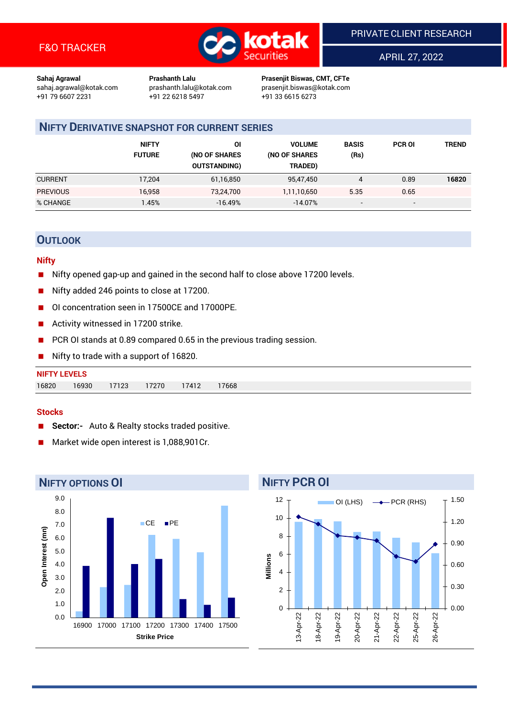

APRIL 27, 2022

**Sahaj Agrawal Prashanth Lalu Prasenjit Biswas, CMT, CFTe** +91 22 6218 5497 +91 33 6615 6273

sahaj.agrawal@kotak.com [prashanth.lalu@kotak.com](mailto:prashanth.lalu@kotak.com) prasenjit.biswas@kotak.com

## **NIFTY DERIVATIVE SNAPSHOT FOR CURRENT SERIES**

|                 | <b>NIFTY</b><br><b>FUTURE</b> | ΟI<br>(NO OF SHARES<br><b>OUTSTANDING)</b> | <b>VOLUME</b><br>(NO OF SHARES<br>TRADED) | <b>BASIS</b><br>(Rs)     | <b>PCR OI</b> | TREND |
|-----------------|-------------------------------|--------------------------------------------|-------------------------------------------|--------------------------|---------------|-------|
| <b>CURRENT</b>  | 17.204                        | 61,16,850                                  | 95,47,450                                 | 4                        | 0.89          | 16820 |
| <b>PREVIOUS</b> | 16,958                        | 73,24,700                                  | 1,11,10,650                               | 5.35                     | 0.65          |       |
| % CHANGE        | .45%                          | $-16.49%$                                  | $-14.07%$                                 | $\overline{\phantom{a}}$ | -             |       |

## **OUTLOOK**

#### **Nifty**

- Nifty opened gap-up and gained in the second half to close above 17200 levels.
- Nifty added 246 points to close at 17200.
- OI concentration seen in 17500CE and 17000PE.
- Activity witnessed in 17200 strike.
- PCR OI stands at 0.89 compared 0.65 in the previous trading session.
- Nifty to trade with a support of 16820.

| <b>NIFTY LEVELS</b> |       |          |       |       |       |
|---------------------|-------|----------|-------|-------|-------|
| 16820               | 16930 | $-17123$ | 17270 | 17412 | 17668 |

#### **Stocks**

- **Sector:-** Auto & Realty stocks traded positive.
- Market wide open interest is 1,088,901Cr.



# **NIFTY PCR OI**

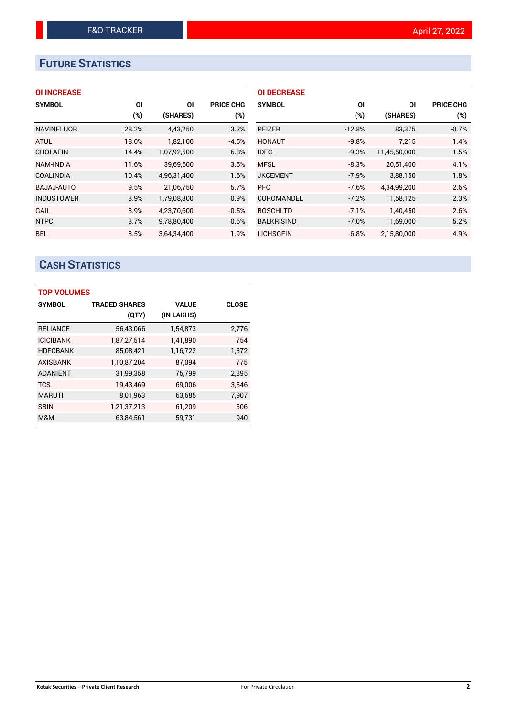# **FUTURE STATISTICS**

|  | <b>OI INCREASE</b> |  |
|--|--------------------|--|
|--|--------------------|--|

| <b>SYMBOL</b>     | ΟI    | ΟI          | <b>PRICE CHG</b> |
|-------------------|-------|-------------|------------------|
|                   | (%)   | (SHARES)    | (%)              |
| <b>NAVINFLUOR</b> | 28.2% | 4,43,250    | 3.2%             |
| <b>ATUL</b>       | 18.0% | 1,82,100    | $-4.5%$          |
| <b>CHOLAFIN</b>   | 14.4% | 1,07,92,500 | 6.8%             |
| <b>NAM-INDIA</b>  | 11.6% | 39.69.600   | 3.5%             |
| <b>COALINDIA</b>  | 10.4% | 4,96,31,400 | 1.6%             |
| BAJAJ-AUTO        | 9.5%  | 21,06,750   | 5.7%             |
| <b>INDUSTOWER</b> | 8.9%  | 1,79,08,800 | 0.9%             |
| <b>GAIL</b>       | 8.9%  | 4,23,70,600 | $-0.5%$          |
| <b>NTPC</b>       | 8.7%  | 9,78,80,400 | 0.6%             |
| <b>BEL</b>        | 8.5%  | 3.64.34.400 | 1.9%             |

| <b>OI DECREASE</b> |          |              |                  |
|--------------------|----------|--------------|------------------|
| <b>SYMBOL</b>      | ΟI       | ΟI           | <b>PRICE CHG</b> |
|                    | (%)      | (SHARES)     | (%)              |
| <b>PFIZER</b>      | $-12.8%$ | 83,375       | $-0.7%$          |
| <b>HONAUT</b>      | $-9.8%$  | 7.215        | 1.4%             |
| <b>IDFC</b>        | $-9.3%$  | 11,45,50,000 | 1.5%             |
| <b>MFSL</b>        | $-8.3%$  | 20,51,400    | 4.1%             |
| <b>JKCEMENT</b>    | $-7.9%$  | 3,88,150     | 1.8%             |
| <b>PFC</b>         | $-7.6%$  | 4,34,99,200  | 2.6%             |
| COROMANDEL         | $-7.2%$  | 11,58,125    | 2.3%             |
| <b>BOSCHLTD</b>    | $-7.1%$  | 1,40,450     | 2.6%             |
| <b>BALKRISIND</b>  | $-7.0%$  | 11,69,000    | 5.2%             |
| LICHSGFIN          | $-6.8%$  | 2.15.80.000  | 4.9%             |

# **CASH STATISTICS**

| <b>TOP VOLUMES</b> |                      |              |              |  |  |  |  |
|--------------------|----------------------|--------------|--------------|--|--|--|--|
| <b>SYMBOL</b>      | <b>TRADED SHARES</b> | <b>VALUE</b> | <b>CLOSE</b> |  |  |  |  |
|                    | (QTY)                | (IN LAKHS)   |              |  |  |  |  |
| <b>RELIANCE</b>    | 56,43,066            | 1,54,873     | 2,776        |  |  |  |  |
| <b>ICICIBANK</b>   | 1,87,27,514          | 1,41,890     | 754          |  |  |  |  |
| <b>HDFCBANK</b>    | 85,08,421            | 1,16,722     | 1,372        |  |  |  |  |
| <b>AXISBANK</b>    | 1,10,87,204          | 87.094       | 775          |  |  |  |  |
| <b>ADANIENT</b>    | 31,99,358            | 75,799       | 2,395        |  |  |  |  |
| <b>TCS</b>         | 19,43,469            | 69,006       | 3.546        |  |  |  |  |
| <b>MARUTI</b>      | 8,01,963             | 63,685       | 7,907        |  |  |  |  |
| <b>SBIN</b>        | 1,21,37,213          | 61,209       | 506          |  |  |  |  |
| M&M                | 63.84.561            | 59.731       | 940          |  |  |  |  |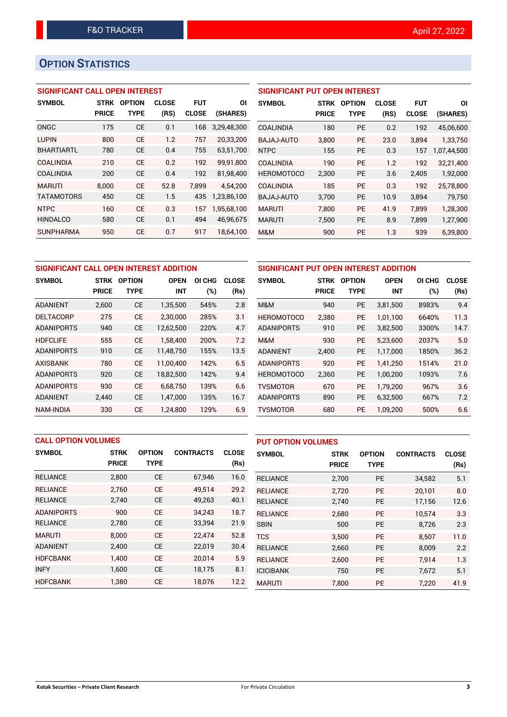# **OPTION STATISTICS**

## **SIGNIFICANT CALL OPEN INTEREST**

| <b>SYMBOL</b>     | <b>STRK</b>  | <b>OPTION</b> | <b>CLOSE</b> | <b>FUT</b>   | ΟI          |
|-------------------|--------------|---------------|--------------|--------------|-------------|
|                   | <b>PRICE</b> | TYPE          | (RS)         | <b>CLOSE</b> | (SHARES)    |
| ONGC              | 175          | CE            | 0.1          | 168          | 3,29,48,300 |
| <b>LUPIN</b>      | 800          | CF            | 1.2          | 757          | 20,33,200   |
| <b>BHARTIARTL</b> | 780          | CE            | 0.4          | 755          | 63.51.700   |
| COALINDIA         | 210          | <b>CE</b>     | 0.2          | 192          | 99,91,800   |
| COALINDIA         | 200          | CF            | 0.4          | 192          | 81,98,400   |
| <b>MARUTI</b>     | 8,000        | CF            | 52.8         | 7,899        | 4,54,200    |
| <b>TATAMOTORS</b> | 450          | <b>CE</b>     | 1.5          | 435          | 1,23,86,100 |
| <b>NTPC</b>       | 160          | <b>CE</b>     | 0.3          | 157          | 1,95,68,100 |
| <b>HINDALCO</b>   | 580          | <b>CE</b>     | 0.1          | 494          | 46,96,675   |
| <b>SUNPHARMA</b>  | 950          | <b>CE</b>     | 0.7          | 917          | 18.64.100   |

| <b>SIGNIFICANT PUT OPEN INTEREST</b> |              |               |              |              |             |  |  |  |  |  |
|--------------------------------------|--------------|---------------|--------------|--------------|-------------|--|--|--|--|--|
| <b>SYMBOL</b>                        | <b>STRK</b>  | <b>OPTION</b> | <b>CLOSE</b> | <b>FUT</b>   | ΟI          |  |  |  |  |  |
|                                      | <b>PRICE</b> | <b>TYPE</b>   | (RS)         | <b>CLOSE</b> | (SHARES)    |  |  |  |  |  |
| <b>COALINDIA</b>                     | 180          | <b>PE</b>     | 0.2          | 192          | 45,06,600   |  |  |  |  |  |
| BAJAJ-AUTO                           | 3,800        | <b>PE</b>     | 23.0         | 3.894        | 1,33,750    |  |  |  |  |  |
| <b>NTPC</b>                          | 155          | <b>PE</b>     | 0.3          | 157          | 1,07,44,500 |  |  |  |  |  |
| <b>COALINDIA</b>                     | 190          | <b>PE</b>     | 1.2          | 192          | 32,21,400   |  |  |  |  |  |
| <b>HEROMOTOCO</b>                    | 2,300        | PE            | 3.6          | 2,405        | 1,92,000    |  |  |  |  |  |
| <b>COALINDIA</b>                     | 185          | <b>PE</b>     | 0.3          | 192          | 25,78,800   |  |  |  |  |  |
| <b>BAJAJ-AUTO</b>                    | 3,700        | <b>PE</b>     | 10.9         | 3,894        | 79,750      |  |  |  |  |  |
| <b>MARUTI</b>                        | 7,800        | <b>PE</b>     | 41.9         | 7.899        | 1,28,300    |  |  |  |  |  |
| <b>MARUTI</b>                        | 7,500        | <b>PE</b>     | 8.9          | 7,899        | 1,27,900    |  |  |  |  |  |
| M&M                                  | 900          | PE            | 1.3          | 939          | 6,39,800    |  |  |  |  |  |

|                   | SIGNIFICANT CALL OPEN INTEREST ADDITION |               |             |                  |              | SIGNIFICANT PUT OPEN INTEREST ADDITION |              |               |             |        |              |
|-------------------|-----------------------------------------|---------------|-------------|------------------|--------------|----------------------------------------|--------------|---------------|-------------|--------|--------------|
| <b>SYMBOL</b>     | <b>STRK</b>                             | <b>OPTION</b> | <b>OPEN</b> | ΟI<br><b>CHG</b> | <b>CLOSE</b> | <b>SYMBOL</b>                          | <b>STRK</b>  | <b>OPTION</b> | <b>OPEN</b> | OI CHG | <b>CLOSE</b> |
|                   | <b>PRICE</b>                            | <b>TYPE</b>   | <b>INT</b>  | (%)              | (Rs)         |                                        | <b>PRICE</b> | <b>TYPE</b>   | <b>INT</b>  | (%)    | (Rs)         |
| <b>ADANIENT</b>   | 2,600                                   | <b>CE</b>     | 1,35,500    | 545%             | 2.8          | M&M                                    | 940          | <b>PE</b>     | 3,81,500    | 8983%  | 9.4          |
| <b>DELTACORP</b>  | 275                                     | <b>CE</b>     | 2.30.000    | 285%             | 3.1          | <b>HEROMOTOCO</b>                      | 2,380        | <b>PE</b>     | 1.01.100    | 6640%  | 11.3         |
| <b>ADANIPORTS</b> | 940                                     | <b>CE</b>     | 12,62,500   | 220%             | 4.7          | <b>ADANIPORTS</b>                      | 910          | <b>PE</b>     | 3,82,500    | 3300%  | 14.7         |
| <b>HDFCLIFE</b>   | 555                                     | <b>CE</b>     | 1.58.400    | 200%             | 7.2          | M&M                                    | 930          | <b>PE</b>     | 5.23.600    | 2037%  | 5.0          |
| <b>ADANIPORTS</b> | 910                                     | <b>CE</b>     | 11,48,750   | 155%             | 13.5         | <b>ADANIENT</b>                        | 2,400        | <b>PE</b>     | 1,17,000    | 1850%  | 36.2         |
| <b>AXISBANK</b>   | 780                                     | <b>CE</b>     | 11.00.400   | 142%             | 6.5          | <b>ADANIPORTS</b>                      | 920          | <b>PE</b>     | 1.41.250    | 1514%  | 21.0         |
| <b>ADANIPORTS</b> | 920                                     | <b>CE</b>     | 18,82,500   | 142%             | 9.4          | <b>HEROMOTOCO</b>                      | 2,360        | <b>PE</b>     | 1,00,200    | 1093%  | 7.6          |
| <b>ADANIPORTS</b> | 930                                     | <b>CE</b>     | 6.68.750    | 139%             | 6.6          | TVSMOTOR                               | 670          | <b>PE</b>     | 1.79.200    | 967%   | 3.6          |
| <b>ADANIENT</b>   | 2,440                                   | <b>CE</b>     | 1,47,000    | 135%             | 16.7         | <b>ADANIPORTS</b>                      | 890          | <b>PE</b>     | 6,32,500    | 667%   | 7.2          |
| <b>NAM-INDIA</b>  | 330                                     | <b>CE</b>     | 1,24,800    | 129%             | 6.9          | TVSMOTOR                               | 680          | <b>PE</b>     | 1,09,200    | 500%   | 6.6          |

|                   | <b>CALL OPTION VOLUMES</b> |               |                  |              | <b>PUT OPTION VOLUMES</b> |              |               |                  |              |
|-------------------|----------------------------|---------------|------------------|--------------|---------------------------|--------------|---------------|------------------|--------------|
| <b>SYMBOL</b>     | <b>STRK</b>                | <b>OPTION</b> | <b>CONTRACTS</b> | <b>CLOSE</b> | <b>SYMBOL</b>             | <b>STRK</b>  | <b>OPTION</b> | <b>CONTRACTS</b> | <b>CLOSE</b> |
|                   | <b>PRICE</b>               | <b>TYPE</b>   |                  | (Rs)         |                           | <b>PRICE</b> | <b>TYPE</b>   |                  | (Rs)         |
| <b>RELIANCE</b>   | 2,800                      | <b>CE</b>     | 67,946           | 16.0         | <b>RELIANCE</b>           | 2,700        | PE            | 34,582           | 5.1          |
| <b>RELIANCE</b>   | 2.760                      | <b>CE</b>     | 49,514           | 29.2         | <b>RELIANCE</b>           | 2.720        | <b>PE</b>     | 20.101           | 8.0          |
| <b>RELIANCE</b>   | 2,740                      | <b>CE</b>     | 49,263           | 40.1         | <b>RELIANCE</b>           | 2,740        | PE            | 17,156           | 12.6         |
| <b>ADANIPORTS</b> | 900                        | <b>CE</b>     | 34,243           | 18.7         | <b>RELIANCE</b>           | 2,680        | <b>PE</b>     | 10.574           | 3.3          |
| <b>RELIANCE</b>   | 2,780                      | <b>CE</b>     | 33,394           | 21.9         | <b>SBIN</b>               | 500          | <b>PE</b>     | 8,726            | 2.3          |
| <b>MARUTI</b>     | 8.000                      | <b>CE</b>     | 22,474           | 52.8         | <b>TCS</b>                | 3.500        | <b>PE</b>     | 8.507            | 11.0         |
| <b>ADANIENT</b>   | 2,400                      | <b>CE</b>     | 22,019           | 30.4         | <b>RELIANCE</b>           | 2,660        | <b>PE</b>     | 8,009            | 2.2          |
| <b>HDFCBANK</b>   | 1.400                      | <b>CE</b>     | 20,014           | 5.9          | <b>RELIANCE</b>           | 2,600        | <b>PE</b>     | 7.914            | 1.3          |
| <b>INFY</b>       | 1,600                      | <b>CE</b>     | 18,175           | 8.1          | <b>ICICIBANK</b>          | 750          | <b>PE</b>     | 7,672            | 5.1          |
| <b>HDFCBANK</b>   | 1,380                      | <b>CE</b>     | 18,076           | 12.2         | <b>MARUTI</b>             | 7.800        | <b>PE</b>     | 7.220            | 41.9         |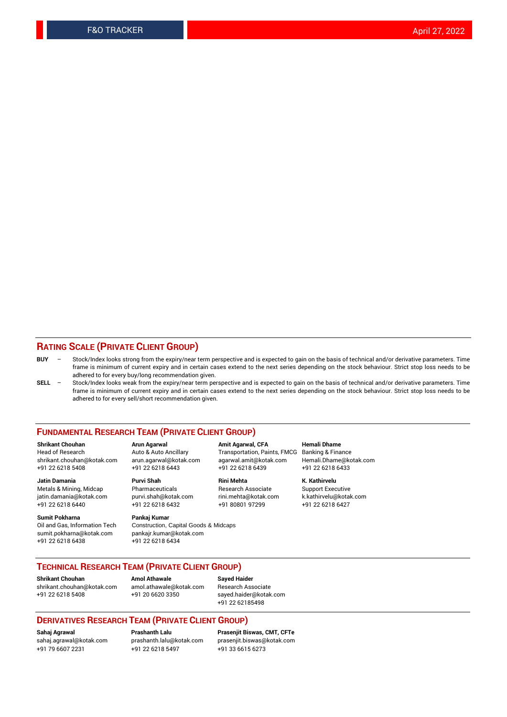#### **RATING SCALE (PRIVATE CLIENT GROUP)**

- **BUY**  Stock/Index looks strong from the expiry/near term perspective and is expected to gain on the basis of technical and/or derivative parameters. Time frame is minimum of current expiry and in certain cases extend to the next series depending on the stock behaviour. Strict stop loss needs to be adhered to for every buy/long recommendation given.
- **SELL** Stock/Index looks weak from the expiry/near term perspective and is expected to gain on the basis of technical and/or derivative parameters. Time frame is minimum of current expiry and in certain cases extend to the next series depending on the stock behaviour. Strict stop loss needs to be adhered to for every sell/short recommendation given.

#### **FUNDAMENTAL RESEARCH TEAM (PRIVATE CLIENT GROUP)**

**Shrikant Chouhan Arun Agarwal Amit Agarwal, CFA Hemali Dhame** shrikant.chouhan@kotak.com arun.agarwal@kotak.com agarwal.amit@kotak.com Hemali.Dhame@kotak.com +91 22 6218 5408 +91 22 6218 6443 +91 22 6218 6439 +91 22 6218 6433

Metals & Mining, Midcap Pharmaceuticals Pharmaceuticals Research Associate Support Executive<br>
iatin.damania@kotak.com purvi.shah@kotak.com rini.mehta@kotak.com k.kathirvelu@kotak.com jatin.damania@kotak.com

**Sumit Pokharna** Pankaj Kumar<br>Oil and Gas, Information Tech Construction, sumit.pokharna@kotak.com pankajr.kumar@kotak.com +91 22 6218 6438 +91 22 6218 6434

Construction, Capital Goods & Midcaps

Transportation, Paints, FMCG

**Jatin Damania Purvi Shah Rini Mehta K. Kathirvelu** +91 22 6218 6440 +91 22 6218 6432 +91 80801 97299 +91 22 6218 6427

### **TECHNICAL RESEARCH TEAM (PRIVATE CLIENT GROUP)**

**Shrikant Chouhan Amol Athawale Sayed Haider** [shrikant.chouhan@kotak.com](mailto:shrikant.chouhan@kotak.com) [amol.athawale@kotak.com](mailto:amol.athawale@kotak.com) Research Associate +91 22 6218 5408 +91 20 6620 3350 [sayed.haider@kotak.com](mailto:sayed.haider@kotak.com)

+91 22 62185498

#### **DERIVATIVES RESEARCH TEAM (PRIVATE CLIENT GROUP)**

+91 79 6607 2231 +91 22 6218 5497 +91 33 6615 6273

**Sahaj Agrawal Prashanth Lalu Prasenjit Biswas, CMT, CFTe** [prasenjit.biswas@kotak.com](mailto:prasenjit.biswas@kotak.com)